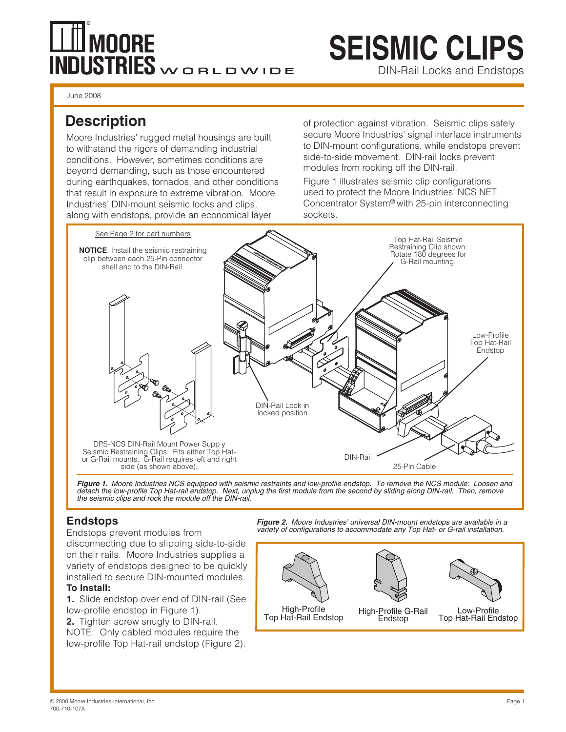# **TH** MOORE **NDUSTRIES**WORLDWIDE

# **SEISMIC CLIPS**

DIN-Rail Locks and Endstops

June 2008

# **Description**

Moore Industries' rugged metal housings are built to withstand the rigors of demanding industrial conditions. However, sometimes conditions are beyond demanding, such as those encountered during earthquakes, tornados, and other conditions that result in exposure to extreme vibration. Moore Industries' DIN-mount seismic locks and clips, along with endstops, provide an economical layer

of protection against vibration. Seismic clips safely secure Moore Industries' signal interface instruments to DIN-mount configurations, while endstops prevent side-to-side movement. DIN-rail locks prevent modules from rocking off the DIN-rail.

Figure 1 illustrates seismic clip configurations used to protect the Moore Industries' NCS NET Concentrator System® with 25-pin interconnecting sockets.



*Figure 1. Moore Industries NCS equipped with seismic restraints and low-profile endstop. To remove the NCS module: Loosen and detach the low-profile Top Hat-rail endstop. Next, unplug the first module from the second by sliding along DIN-rail. Then, remove the seismic clips and rock the module off the DIN-rail.*

### **Endstops**

Endstops prevent modules from

disconnecting due to slipping side-to-side on their rails. Moore Industries supplies a variety of endstops designed to be quickly installed to secure DIN-mounted modules. **To Install:**

**1.** Slide endstop over end of DIN-rail (See low-profile endstop in Figure 1).

**2.** Tighten screw snugly to DIN-rail. NOTE: Only cabled modules require the low-profile Top Hat-rail endstop (Figure 2). *Figure 2. Moore Industries' universal DIN-mount endstops are available in a variety of configurations to accommodate any Top Hat- or G-rail installation.*